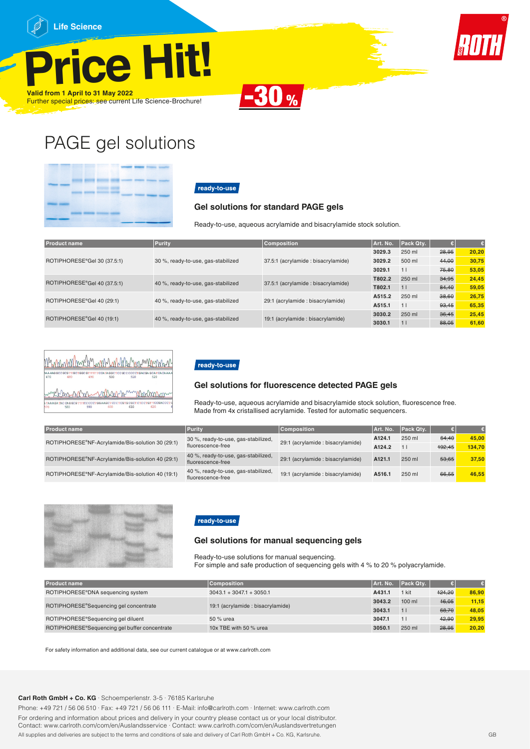











## PAGE gel solutions

|  |  | w. |  |  |
|--|--|----|--|--|
|  |  |    |  |  |
|  |  |    |  |  |
|  |  |    |  |  |
|  |  |    |  |  |

## ready-to-use

#### **Gel solutions for standard PAGE gels**

Ready-to-use, aqueous acrylamide and bisacrylamide stock solution.

| <b>Product name</b>         | Purity                             | <b>Composition</b>                 | Art. No. | Pack Qty. |       |       |
|-----------------------------|------------------------------------|------------------------------------|----------|-----------|-------|-------|
|                             |                                    |                                    | 3029.3   | 250 ml    | 28,95 | 20.20 |
| ROTIPHORESE®Gel 30 (37.5:1) | 30 %, ready-to-use, gas-stabilized | 37.5:1 (acrylamide: bisacrylamide) | 3029.2   | 500 ml    | 44.00 | 30.75 |
|                             |                                    |                                    | 3029.1   | 11        | 75.80 | 53,05 |
|                             | 40 %, ready-to-use, gas-stabilized | 37.5:1 (acrylamide: bisacrylamide) | T802.2   | 250 ml    | 34,95 | 24.45 |
| ROTIPHORESE®Gel 40 (37.5:1) |                                    |                                    | T802.1   | 11        | 84.40 | 59.05 |
| ROTIPHORESE®Gel 40 (29:1)   |                                    | 29:1 (acrylamide: bisacrylamide)   | A515.2   | 250 ml    | 38.60 | 26,75 |
|                             | 40 %, ready-to-use, gas-stabilized |                                    | A515.1   | 11        | 93.45 | 65,35 |
| ROTIPHORESE®Gel 40 (19:1)   |                                    | 19:1 (acrylamide: bisacrylamide)   | 3030.2   | 250 ml    | 36,45 | 25,45 |
|                             | 40 %, ready-to-use, gas-stabilized |                                    | 3030.1   | 11        | 88.05 | 61.60 |

|     |     |     |     | Mummmmmnhummnnnhummnnn                                                                    |     |  |
|-----|-----|-----|-----|-------------------------------------------------------------------------------------------|-----|--|
| 470 | 480 | 490 | 500 | ba a aag goo gog tingomggo gm tim mooarta ggomoo go o oo omg ac ga goamoa ca a a a<br>510 | 520 |  |
|     |     |     |     | Linkbarrenner                                                                             |     |  |
| 570 | 580 | 590 | 600 | <b>GCGC</b><br>610                                                                        |     |  |

## ready-to-use

#### **Gel solutions for fluorescence detected PAGE gels**

Ready-to-use, aqueous acrylamide and bisacrylamide stock solution, fluorescence free. Made from 4x cristallised acrylamide. Tested for automatic sequencers.

| <b>Product name</b>                              | Purity                                                   | <b>Composition</b>                | Art. No.           | Pack Qtv. |        |        |
|--------------------------------------------------|----------------------------------------------------------|-----------------------------------|--------------------|-----------|--------|--------|
| ROTIPHORESE®NF-Acrylamide/Bis-solution 30 (29:1) | 30 %, ready-to-use, gas-stabilized,                      | 29:1 (acrylamide : bisacrylamide) | A <sub>124.1</sub> | 250 ml    | 64.40  | 45.00  |
|                                                  | fluorescence-free                                        |                                   | A <sub>124.2</sub> |           | 192.45 | 134.70 |
| ROTIPHORESE®NF-Acrylamide/Bis-solution 40 (29:1) | 40 %, ready-to-use, gas-stabilized,<br>fluorescence-free | 29:1 (acrylamide : bisacrylamide) | A <sub>121.1</sub> | 250 ml    | 53.65  | 37.50  |
| ROTIPHORESE®NF-Acrylamide/Bis-solution 40 (19:1) | 40 %, ready-to-use, gas-stabilized,<br>fluorescence-free | 19:1 (acrylamide : bisacrylamide) | A516.1             | $250$ ml  | 66.55  | 46.55  |



## ready-to-use

#### **Gel solutions for manual sequencing gels**

Ready-to-use solutions for manual sequencing. For simple and safe production of sequencing gels with 4 % to 20 % polyacrylamide.

| <b>Product name</b>                           | <b>Composition</b>                | Art. No. | Pack Qty. |        |       |
|-----------------------------------------------|-----------------------------------|----------|-----------|--------|-------|
| ROTIPHORESE®DNA sequencing system             | $3043.1 + 3047.1 + 3050.1$        | A431.1   | 1 kit     | 124.20 | 86.90 |
| ROTIPHORESE®Sequencing gel concentrate        | 19:1 (acrylamide : bisacrylamide) | 3043.2   | $100$ ml  | 16,05  | 11.15 |
|                                               |                                   |          |           | 68.70  | 48.05 |
| ROTIPHORESE®Sequencing gel diluent            | 50 % urea                         | 3047.1   |           | 42.90  | 29.95 |
| ROTIPHORESE®Sequencing gel buffer concentrate | 10x TBE with 50 % urea            | 3050.1   | 250 ml    | 28,95  | 20.20 |

For safety information and additional data, see our current catalogue or at www.carlroth.com

#### **Carl Roth GmbH + Co. KG** · Schoemperlenstr. 3-5 · 76185 Karlsruhe

Phone: +49 721 / 56 06 510 · Fax: +49 721 / 56 06 111 · E-Mail: info@carlroth.com · Internet: www.carlroth.com

For ordering and information about prices and delivery in your country please contact us or your local distributor. Contact: www.carlroth.com/com/en/Auslandsservice · Contact: www.carlroth.com/com/en/Auslandsvertretungen